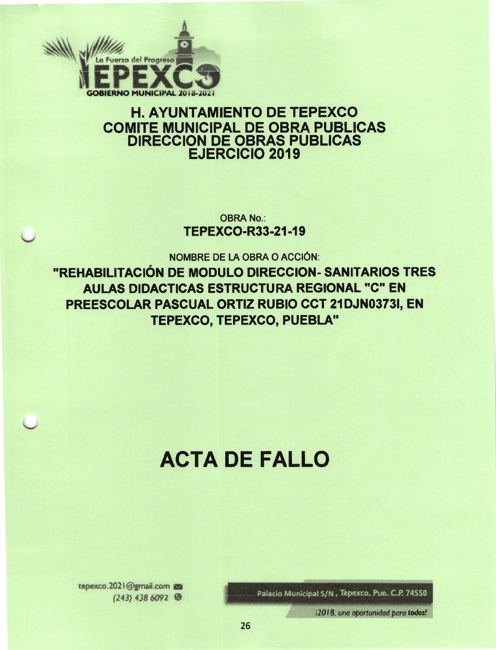

# **H. AYUNTAMIENTO DE TEPEXCO COMITE MUNICIPAL DE OBRA PUBLICAS DIRECCION DE OBRAS PUBLICAS EJERCICIO 2019**

**OBRA No.: TEPEXCO-R33-21-19** 

NOMBRE DE LA OBRA O ACCIÓN:

"REHABILITACIÓN DE MODULO DIRECCION- SANITARIOS TRES **AULAS DIDACTICAS ESTRUCTURA REGIONAL "C" EN** PREESCOLAR PASCUAL ORTIZ RUBIO CCT 21DJN0373I, EN **TEPEXCO, TEPEXCO, PUEBLA"** 

# **ACTA DE FALLO**

Palacio Municipal S/N, Tepexco, Pue. C.P. 74550

i2018, una oportunidad para todos!

tepexco.2021@gmail.com  $(243)$  438 6092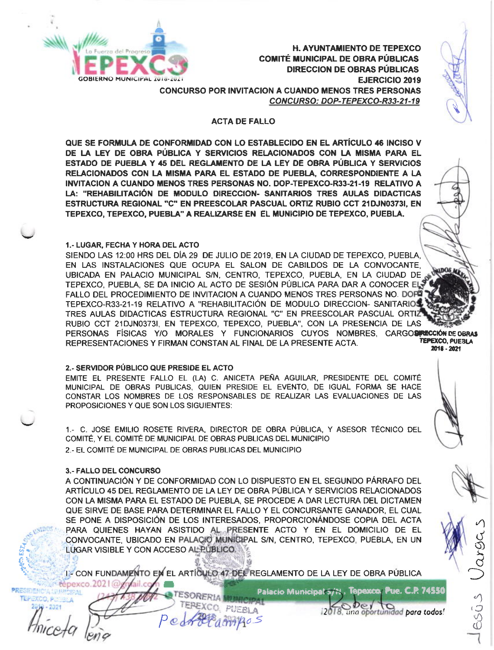

**H. AYUNTAMIENTO DE TEPEXCO COMITÉ MUNICIPAL DE OBRA PÚBLICAS DIRECCION DE OBRAS PÚBLICAS** EJERCICIO 2019 **CONCURSO POR INVITACION A CUANDO MENOS TRES PERSONAS** CONCURSO: DOP-TEPEXCO-R33-21-19

#### **ACTA DE FALLO**

QUE SE FORMULA DE CONFORMIDAD CON LO ESTABLECIDO EN EL ARTÍCULO 46 INCISO V DE LA LEY DE OBRA PÚBLICA Y SERVICIOS RELACIONADOS CON LA MISMA PARA EL ESTADO DE PUEBLA Y 45 DEL REGLAMENTO DE LA LEY DE OBRA PÚBLICA Y SERVICIOS RELACIONADOS CON LA MISMA PARA EL ESTADO DE PUEBLA, CORRESPONDIENTE A LA INVITACION A CUANDO MENOS TRES PERSONAS NO. DOP-TEPEXCO-R33-21-19 RELATIVO A LA: "REHABILITACIÓN DE MODULO DIRECCION- SANITARIOS TRES AULAS DIDACTICAS ESTRUCTURA REGIONAL "C" EN PREESCOLAR PASCUAL ORTIZ RUBIO CCT 21DJN03731, EN TEPEXCO, TEPEXCO, PUEBLA" A REALIZARSE EN EL MUNICIPIO DE TEPEXCO, PUEBLA,

#### 1.- LUGAR, FECHA Y HORA DEL ACTO

SIENDO LAS 12:00 HRS DEL DÍA 29 DE JULIO DE 2019, EN LA CIUDAD DE TEPEXCO, PUEBLA. EN LAS INSTALACIONES QUE OCUPA EL SALON DE CABILDOS DE LA CONVOCANTE. ADOS A UBICADA EN PALACIO MUNICIPAL S/N, CENTRO, TEPEXCO, PUEBLA, EN LA CIUDAD DE TEPEXCO, PUEBLA, SE DA INICIO AL ACTO DE SESIÓN PÚBLICA PARA DAR A CONOCER EL-FALLO DEL PROCEDIMIENTO DE INVITACION A CUANDO MENOS TRES PERSONAS NO. DOPO TEPEXCO-R33-21-19 RELATIVO A "REHABILITACIÓN DE MODULO DIRECCION- SANITARIOS TRES AULAS DIDACTICAS ESTRUCTURA REGIONAL "C" EN PREESCOLAR PASCUAL ORTIZ RUBIO CCT 21DJN0373I, EN TEPEXCO, TEPEXCO, PUEBLA", CON LA PRESENCIA DE LAS PERSONAS FÍSICAS Y/O MORALES Y FUNCIONARIOS CUYOS NOMBRES, CARGOSPECCIÓN DE OBRAS **TEPEXCO, PUEBLA** REPRESENTACIONES Y FIRMAN CONSTAN AL FINAL DE LA PRESENTE ACTA. 2018 - 2021

#### 2.- SERVIDOR PÚBLICO QUE PRESIDE EL ACTO

EMITE EL PRESENTE FALLO EL (LA) C. ANICETA PEÑA AGUILAR, PRESIDENTE DEL COMITÉ MUNICIPAL DE OBRAS PUBLICAS, QUIEN PRESIDE EL EVENTO, DE IGUAL FORMA SE HACE CONSTAR LOS NOMBRES DE LOS RESPONSABLES DE REALIZAR LAS EVALUACIONES DE LAS PROPOSICIONES Y QUE SON LOS SIGUIENTES:

1.- C. JOSE EMILIO ROSETE RIVERA, DIRECTOR DE OBRA PÚBLICA, Y ASESOR TÉCNICO DEL COMITÉ, Y EL COMITÉ DE MUNICIPAL DE OBRAS PUBLICAS DEL MUNICIPIO 2.- EL COMITÉ DE MUNICIPAL DE OBRAS PUBLICAS DEL MUNICIPIO

#### 3.- FALLO DEL CONCURSO

A CONTINUACIÓN Y DE CONFORMIDAD CON LO DISPUESTO EN EL SEGUNDO PÁRRAFO DEL ARTÍCULO 45 DEL REGLAMENTO DE LA LEY DE OBRA PÚBLICA Y SERVICIOS RELACIONADOS CON LA MISMA PARA EL ESTADO DE PUEBLA, SE PROCEDE A DAR LECTURA DEL DICTAMEN QUE SIRVE DE BASE PARA DETERMINAR EL FALLO Y EL CONCURSANTE GANADOR, EL CUAL SE PONE A DISPOSICIÓN DE LOS INTERESADOS, PROPORCIONÁNDOSE COPIA DEL ACTA PARA QUIENES HAYAN ASISTIDO AL PRESENTE ACTO Y EN EL DOMICILIO DE EL CONVOCANTE, UBICADO EN PALACIO MUNICIPAL S/N, CENTRO, TEPEXCO, PUEBLA, EN UN LUGAR VISIBLE Y CON ACCESO AL PUBLICO.

I CON FUNDAMENTO EN EL ARTÍCULO 47 DEL REGLAMENTO DE LA LEY DE OBRA PÚBLICA tepexco.2021@

PRESIDEN CIPAL TEP

|                 | <b>Palacio Municipal</b> |
|-----------------|--------------------------|
| <b>ESORERIA</b> |                          |
| FEREXCO, PUESLA |                          |
| Pedrocampos     |                          |



ESUS

Tepexco, Pue. C.P. 74550

18, una oportunidad para todos!

Der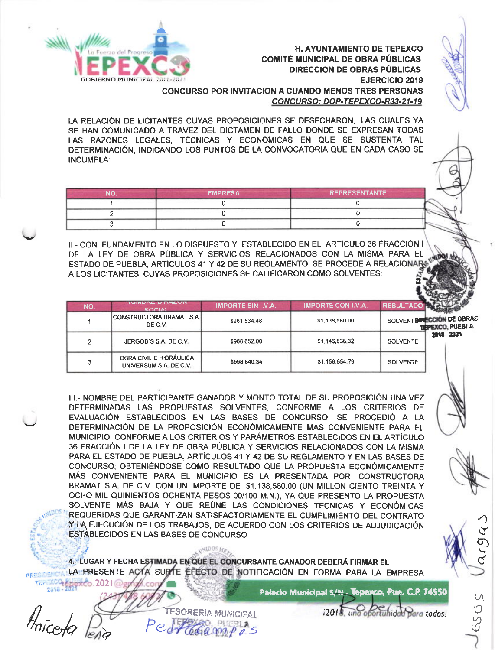



**OBIERNO MUNICIPAL** 

| חמ | <b>EMPRESA</b> | <b>REPRESENTANTE</b> |  |  |
|----|----------------|----------------------|--|--|
|    |                |                      |  |  |
|    |                |                      |  |  |
|    |                |                      |  |  |

II.- CON FUNDAMENTO EN LO DISPUESTO Y ESTABLECIDO EN EL ARTÍCULO 36 FRACCIÓN I DE LA LEY DE OBRA PÚBLICA Y SERVICIOS RELACIONADOS CON LA MISMA PARA EL ESTADO DE PUEBLA, ARTÍCULOS 41 Y 42 DE SU REGLAMENTO, SE PROCEDE A RELACIONAR-A LOS LICITANTES CUYAS PROPOSICIONES SE CALIFICARON COMO SOLVENTES:

| NO. | <b>ITUITUITE VINALVIT</b><br><b>COOIAL</b>        | <b>IMPORTE SIN I.V.A.</b> | <b>IMPORTE CON I.V.A.</b> | <b>RESULTAD</b> |                                                      |
|-----|---------------------------------------------------|---------------------------|---------------------------|-----------------|------------------------------------------------------|
|     | CONSTRUCTORA BRAMAT S.A.<br>DE C.V.               | \$981,534.48              | \$1,138,580.00            |                 | SOLVENT DIRECCIÓN DE OBRAS<br><b>TEPEXCO, PUEBLA</b> |
| C.  | JERGOB'S S.A. DE C.V.                             | \$988,652.00              | \$1,146,836.32            | <b>SOLVENTE</b> | 2018 - 2021                                          |
|     | OBRA CIVIL E HIDRÁULICA<br>UNIVERSUM S.A. DE C.V. | \$998,840.34              | \$1,158,654.79            | <b>SOLVENTE</b> |                                                      |

III.- NOMBRE DEL PARTICIPANTE GANADOR Y MONTO TOTAL DE SU PROPOSICIÓN UNA VEZ DETERMINADAS LAS PROPUESTAS SOLVENTES, CONFORME A LOS CRITERIOS DE EVALUACIÓN ESTABLECIDOS EN LAS BASES DE CONCURSO, SE PROCEDIÓ A LA DETERMINACIÓN DE LA PROPOSICIÓN ECONÓMICAMENTE MÁS CONVENIENTE PARA EL MUNICIPIO, CONFORME A LOS CRITERIOS Y PARÁMETROS ESTABLECIDOS EN EL ARTÍCULO 36 FRACCIÓN I DE LA LEY DE OBRA PÚBLICA Y SERVICIOS RELACIONADOS CON LA MISMA PARA EL ESTADO DE PUEBLA, ARTÍCULOS 41 Y 42 DE SU REGLAMENTO Y EN LAS BASES DE CONCURSO; OBTENIÉNDOSE COMO RESULTADO QUE LA PROPUESTA ECONÓMICAMENTE MÁS CONVENIENTE PARA EL MUNICIPIO ES LA PRESENTADA POR CONSTRUCTORA BRAMAT S.A. DE C.V. CON UN IMPORTE DE \$1,138,580.00 (UN MILLON CIENTO TREINTA Y OCHO MIL QUINIENTOS OCHENTA PESOS 00/100 M.N.), YA QUE PRESENTO LA PROPUESTA SOLVENTE MÁS BAJA Y QUE REÚNE LAS CONDICIONES TÉCNICAS Y ECONÓMICAS REQUERIDAS QUE GARANTIZAN SATISFACTORIAMENTE EL CUMPLIMIENTO DEL CONTRATO Y LA EJECUCIÓN DE LOS TRABAJOS, DE ACUERDO CON LOS CRITERIOS DE ADJUDICACIÓN **ESTABLECIDOS EN LAS BASES DE CONCURSO.** 

4. LUGAR Y FECHA ESTIMADA EN QUE EL CONCURSANTE GANADOR DEBERÁ FIRMAR EL LA PRESENTE ACTA SURTE EFECTO DE NOTIFICACIÓN EN FORMA PARA LA EMPRESA

PUERLA

**CNIDOS** Me

**TESORERIA MUNICIPAL** 

Palacio Municipal S/N. Tepexco, Pue. C.P. 74550

 $12018$ ,  $und$ 

oportunidad para todos!



SOSS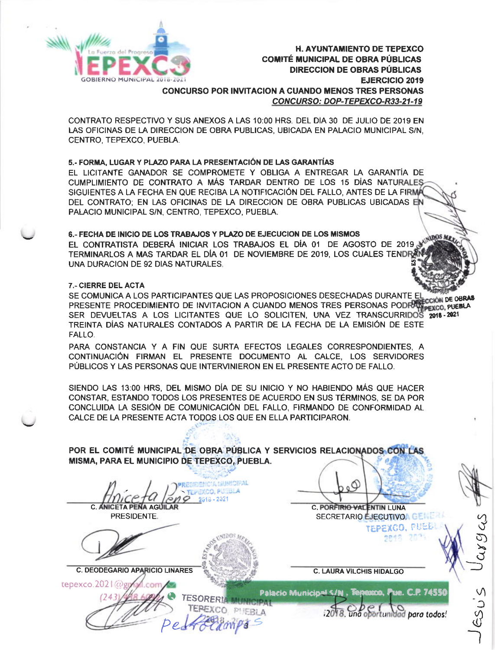

# **H. AYUNTAMIENTO DE TEPEXCO COMITÉ MUNICIPAL DE OBRA PÚBLICAS DIRECCION DE OBRAS PÚBLICAS EJERCICIO 2019 CONCURSO POR INVITACION A CUANDO MENOS TRES PERSONAS** CONCURSO: DOP-TEPEXCO-R33-21-19

CONTRATO RESPECTIVO Y SUS ANEXOS A LAS 10:00 HRS. DEL DIA 30 DE JULIO DE 2019 EN LAS OFICINAS DE LA DIRECCION DE OBRA PUBLICAS, UBICADA EN PALACIO MUNICIPAL S/N, CENTRO, TEPEXCO, PUEBLA.

### 5.- FORMA, LUGAR Y PLAZO PARA LA PRESENTACIÓN DE LAS GARANTÍAS

EL LICITANTE GANADOR SE COMPROMETE Y OBLIGA A ENTREGAR LA GARANTÍA DE CUMPLIMIENTO DE CONTRATO A MÁS TARDAR DENTRO DE LOS 15 DÍAS NATURALES SIGUIENTES A LA FECHA EN QUE RECIBA LA NOTIFICACIÓN DEL FALLO, ANTES DE LA FIRMÁ DEL CONTRATO; EN LAS OFICINAS DE LA DIRECCION DE OBRA PUBLICAS UBICADAS EN PALACIO MUNICIPAL S/N, CENTRO, TEPEXCO, PUEBLA.

# 6.- FECHA DE INICIO DE LOS TRABAJOS Y PLAZO DE EJECUCION DE LOS MISMOS

EL CONTRATISTA DEBERÁ INICIAR LOS TRABAJOS EL DÍA 01 DE AGOSTO DE 2019 TERMINARLOS A MAS TARDAR EL DÍA 01 DE NOVIEMBRE DE 2019, LOS CUALES TENDRA UNA DURACION DE 92 DIAS NATURALES.

# 7.- CIERRE DEL ACTA

SE COMUNICA A LOS PARTICIPANTES QUE LAS PROPOSICIONES DESECHADAS DURANTE EL TENGON DE OBRAS PRESENTE PROCEDIMIENTO DE INVITACION A CUANDO MENOS TRES PERSONAS PODRA PERSON DE OBRAS SER DEVUELTAS A LOS LICITANTES QUE LO SOLICITEN, UNA VEZ TRANSCURRIDOS 2018-2021 TREINTA DÍAS NATURALES CONTADOS A PARTIR DE LA FECHA DE LA EMISIÓN DE ESTE FALLO.

PARA CONSTANCIA Y A FIN QUE SURTA EFECTOS LEGALES CORRESPONDIENTES, A CONTINUACIÓN FIRMAN EL PRESENTE DOCUMENTO AL CALCE, LOS SERVIDORES PÚBLICOS Y LAS PERSONAS QUE INTERVINIERON EN EL PRESENTE ACTO DE FALLO.

SIENDO LAS 13:00 HRS. DEL MISMO DÍA DE SU INICIO Y NO HABIENDO MÁS QUE HACER CONSTAR, ESTANDO TODOS LOS PRESENTES DE ACUERDO EN SUS TÉRMINOS, SE DA POR CONCLUIDA LA SESIÓN DE COMUNICACIÓN DEL FALLO, FIRMANDO DE CONFORMIDAD AL CALCE DE LA PRESENTE ACTA TODOS LOS QUE EN ELLA PARTICIPARON.

POR EL COMITÉ MUNICIPAL DE OBRA PÚBLICA Y SERVICIOS RELACIONADOS CON LAS MISMA, PARA EL MUNICIPIO DE TEPEXCO, PUEBLA.

A GUNIOPAL TEPEXCO, PUEBLA C. ANICETA PENA AGUILAR 2318 - 2021

**TESORERIAN** 

TEREXCO PHEBLA

PRESIDENTE.



**C. DEODEGARIO APARICIO LINARES** 

tерехсо. 2021 @g

**C. LAURA VILCHIS HIDALGO** 

C. PORFIRIO VALENTIN LUNA

SECRETARIO EJECUTIVOA GENERA

TEPEXCO, PUEL

 $essu \leq$ 



12018, und oportunidad para todos!

**IDOS** M